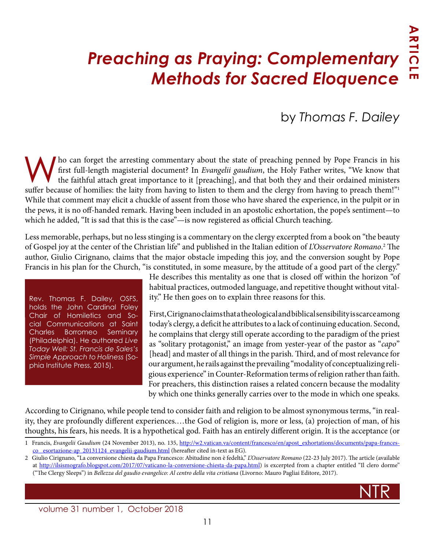# *Preaching as Praying: Complementary Methods for Sacred Eloquence*

## by *Thomas F. Dailey*

Who can forget the arresting commentary about the state of preaching penned by Pope Francis in his<br>first full-length magisterial document? In *Evangelii gaudium*, the Holy Father writes, "We know that<br>the faithful attach g first full-length magisterial document? In *Evangelii gaudium*, the Holy Father writes, "We know that the faithful attach great importance to it [preaching], and that both they and their ordained ministers suffer because of homilies: the laity from having to listen to them and the clergy from having to preach them!" While that comment may elicit a chuckle of assent from those who have shared the experience, in the pulpit or in the pews, it is no off-handed remark. Having been included in an apostolic exhortation, the pope's sentiment—to which he added, "It is sad that this is the case"—is now registered as official Church teaching.

Less memorable, perhaps, but no less stinging is a commentary on the clergy excerpted from a book on "the beauty of Gospel joy at the center of the Christian life" and published in the Italian edition of *L'Osservatore Romano*. 2 The author, Giulio Cirignano, claims that the major obstacle impeding this joy, and the conversion sought by Pope Francis in his plan for the Church, "is constituted, in some measure, by the attitude of a good part of the clergy."

Rev. Thomas F. Dailey, OSFS, holds the John Cardinal Foley Chair of Homiletics and Social Communications at Saint Charles Borromeo Seminary (Philadelphia). He authored *Live Today Well: St. Francis de Sales's Simple Approach to Holiness* (Sophia Institute Press, 2015).

He describes this mentality as one that is closed off within the horizon "of habitual practices, outmoded language, and repetitive thought without vitality." He then goes on to explain three reasons for this.

First, Cirignano claims that a theological and biblical sensibility is scarce among today's clergy, a deficit he attributes to a lack of continuing education. Second, he complains that clergy still operate according to the paradigm of the priest as "solitary protagonist," an image from yester-year of the pastor as "*capo*" [head] and master of all things in the parish. Third, and of most relevance for our argument, he rails against the prevailing "modality of conceptualizing religious experience" in Counter-Reformation terms of religion rather than faith. For preachers, this distinction raises a related concern because the modality by which one thinks generally carries over to the mode in which one speaks.

According to Cirignano, while people tend to consider faith and religion to be almost synonymous terms, "in reality, they are profoundly different experiences.…the God of religion is, more or less, (a) projection of man, of his thoughts, his fears, his needs. It is a hypothetical god. Faith has an entirely different origin. It is the acceptance (or

<u>NTR STATE And the second contract of the second contract of the second contract of the second contract of the second contract of the second contract of the second contract of the second contract of the second contract of </u>

volume 31 number 1, October 2018

<sup>1</sup> Francis, *Evangelii Gaudium* (24 November 2013), no. 135, [http://w2.vatican.va/content/francesco/en/apost\\_exhortations/documents/papa-frances](http://w2.vatican.va/content/francesco/en/apost_exhortations/documents/papa-francesco_esortazione-ap_20131124_evangelii-gaudium.html)[co\\_ esortazione-ap\\_20131124\\_evangelii-gaudium.html](http://w2.vatican.va/content/francesco/en/apost_exhortations/documents/papa-francesco_esortazione-ap_20131124_evangelii-gaudium.html) (hereafter cited in-text as EG).

<sup>2</sup> Giulio Cirignano, "La conversione chiesta da Papa Francesco: Abitudine non è fedeltà," *L'Osservatore Romano* (22-23 July 2017). The article (available at [http://ilsismografo.blogspot.com/2017/07/vaticano-la-conversione-chiesta-da-papa.html\)](http://ilsismografo.blogspot.com/2017/07/vaticano-la-conversione-chiesta-da-papa.html) is excerpted from a chapter entitled "Il clero dorme" ("The Clergy Sleeps") in *Bellezza del gaudio evangelico: Al centro della vita cristiana* (Livorno: Mauro Pagliai Editore, 2017).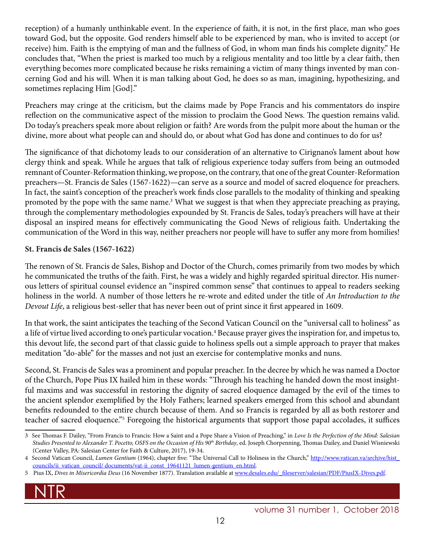reception) of a humanly unthinkable event. In the experience of faith, it is not, in the first place, man who goes toward God, but the opposite. God renders himself able to be experienced by man, who is invited to accept (or receive) him. Faith is the emptying of man and the fullness of God, in whom man finds his complete dignity." He concludes that, "When the priest is marked too much by a religious mentality and too little by a clear faith, then everything becomes more complicated because he risks remaining a victim of many things invented by man concerning God and his will. When it is man talking about God, he does so as man, imagining, hypothesizing, and sometimes replacing Him [God]."

Preachers may cringe at the criticism, but the claims made by Pope Francis and his commentators do inspire reflection on the communicative aspect of the mission to proclaim the Good News. The question remains valid. Do today's preachers speak more about religion or faith? Are words from the pulpit more about the human or the divine, more about what people can and should do, or about what God has done and continues to do for us?

The significance of that dichotomy leads to our consideration of an alternative to Cirignano's lament about how clergy think and speak. While he argues that talk of religious experience today suffers from being an outmoded remnant of Counter-Reformation thinking, we propose, on the contrary, that one of the great Counter-Reformation preachers—St. Francis de Sales (1567-1622)—can serve as a source and model of sacred eloquence for preachers. In fact, the saint's conception of the preacher's work finds close parallels to the modality of thinking and speaking promoted by the pope with the same name.<sup>3</sup> What we suggest is that when they appreciate preaching as praying, through the complementary methodologies expounded by St. Francis de Sales, today's preachers will have at their disposal an inspired means for effectively communicating the Good News of religious faith. Undertaking the communication of the Word in this way, neither preachers nor people will have to suffer any more from homilies!

#### **St. Francis de Sales (1567-1622)**

The renown of St. Francis de Sales, Bishop and Doctor of the Church, comes primarily from two modes by which he communicated the truths of the faith. First, he was a widely and highly regarded spiritual director. His numerous letters of spiritual counsel evidence an "inspired common sense" that continues to appeal to readers seeking holiness in the world. A number of those letters he re-wrote and edited under the title of *An Introduction to the Devout Life*, a religious best-seller that has never been out of print since it first appeared in 1609.

In that work, the saint anticipates the teaching of the Second Vatican Council on the "universal call to holiness" as a life of virtue lived according to one's particular vocation.<sup>4</sup> Because prayer gives the inspiration for, and impetus to, this devout life, the second part of that classic guide to holiness spells out a simple approach to prayer that makes meditation "do-able" for the masses and not just an exercise for contemplative monks and nuns.

Second, St. Francis de Sales was a prominent and popular preacher. In the decree by which he was named a Doctor of the Church, Pope Pius IX hailed him in these words: "Through his teaching he handed down the most insightful maxims and was successful in restoring the dignity of sacred eloquence damaged by the evil of the times to the ancient splendor exemplified by the Holy Fathers; learned speakers emerged from this school and abundant benefits redounded to the entire church because of them. And so Francis is regarded by all as both restorer and teacher of sacred eloquence."5 Foregoing the historical arguments that support those papal accolades, it suffices

<sup>5</sup> Pius IX, Dives in Misericordia Deus (16 November 1877). Translation available at [www.desales.edu/\\_fileserver/salesian/PDF/PiusIX-Dives.pdf.](http://www.desales.edu/_fileserver/salesian/PDF/PiusIX-Dives.pdf)



<sup>3</sup> See Thomas F. Dailey, "From Francis to Francis: How a Saint and a Pope Share a Vision of Preaching," in *Love Is the Perfection of the Mind: Salesian Studies Presented to Alexander T. Pocetto, OSFS on the Occasion of His 90<sup>th</sup> Birthday, ed. Joseph Chorpenning, Thomas Dailey, and Daniel Wisniewski* (Center Valley, PA: Salesian Center for Faith & Culture, 2017), 19-34.

<sup>4</sup> Second Vatican Council, *Lumen Gentium* (1964), chapter five: "The Universal Call to Holiness in the Church," [http://www.vatican.va/archive/hist\\_](http://www.vatican.va/archive/hist_councils/ii_vatican_council/documents/vat-ii_const_19641121_lumen-gentium_en.html) [councils/ii\\_vatican\\_council/ documents/vat-ii\\_const\\_19641121\\_lumen-gentium\\_en.html](http://www.vatican.va/archive/hist_councils/ii_vatican_council/documents/vat-ii_const_19641121_lumen-gentium_en.html).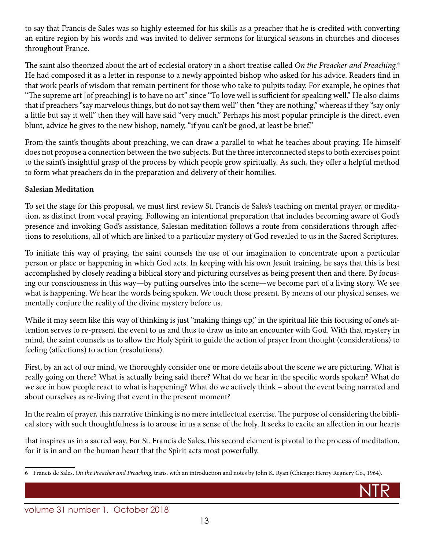to say that Francis de Sales was so highly esteemed for his skills as a preacher that he is credited with converting an entire region by his words and was invited to deliver sermons for liturgical seasons in churches and dioceses throughout France.

The saint also theorized about the art of ecclesial oratory in a short treatise called *On the Preacher and Preaching.*<sup>6</sup> He had composed it as a letter in response to a newly appointed bishop who asked for his advice. Readers find in that work pearls of wisdom that remain pertinent for those who take to pulpits today. For example, he opines that "The supreme art [of preaching] is to have no art" since "To love well is sufficient for speaking well." He also claims that if preachers "say marvelous things, but do not say them well" then "they are nothing," whereas if they "say only a little but say it well" then they will have said "very much." Perhaps his most popular principle is the direct, even blunt, advice he gives to the new bishop, namely, "if you can't be good, at least be brief."

From the saint's thoughts about preaching, we can draw a parallel to what he teaches about praying. He himself does not propose a connection between the two subjects. But the three interconnected steps to both exercises point to the saint's insightful grasp of the process by which people grow spiritually. As such, they offer a helpful method to form what preachers do in the preparation and delivery of their homilies.

#### **Salesian Meditation**

To set the stage for this proposal, we must first review St. Francis de Sales's teaching on mental prayer, or meditation, as distinct from vocal praying. Following an intentional preparation that includes becoming aware of God's presence and invoking God's assistance, Salesian meditation follows a route from considerations through affections to resolutions, all of which are linked to a particular mystery of God revealed to us in the Sacred Scriptures.

To initiate this way of praying, the saint counsels the use of our imagination to concentrate upon a particular person or place or happening in which God acts. In keeping with his own Jesuit training, he says that this is best accomplished by closely reading a biblical story and picturing ourselves as being present then and there. By focusing our consciousness in this way—by putting ourselves into the scene—we become part of a living story. We see what is happening. We hear the words being spoken. We touch those present. By means of our physical senses, we mentally conjure the reality of the divine mystery before us.

While it may seem like this way of thinking is just "making things up," in the spiritual life this focusing of one's attention serves to re-present the event to us and thus to draw us into an encounter with God. With that mystery in mind, the saint counsels us to allow the Holy Spirit to guide the action of prayer from thought (considerations) to feeling (affections) to action (resolutions).

First, by an act of our mind, we thoroughly consider one or more details about the scene we are picturing. What is really going on there? What is actually being said there? What do we hear in the specific words spoken? What do we see in how people react to what is happening? What do we actively think – about the event being narrated and about ourselves as re-living that event in the present moment?

In the realm of prayer, this narrative thinking is no mere intellectual exercise. The purpose of considering the biblical story with such thoughtfulness is to arouse in us a sense of the holy. It seeks to excite an affection in our hearts

that inspires us in a sacred way. For St. Francis de Sales, this second element is pivotal to the process of meditation, for it is in and on the human heart that the Spirit acts most powerfully.

<u>NTR in the second contract of the second contract of the second contract of the second contract of the second</u>

<sup>6</sup> Francis de Sales, *On the Preacher and Preaching*, trans. with an introduction and notes by John K. Ryan (Chicago: Henry Regnery Co., 1964).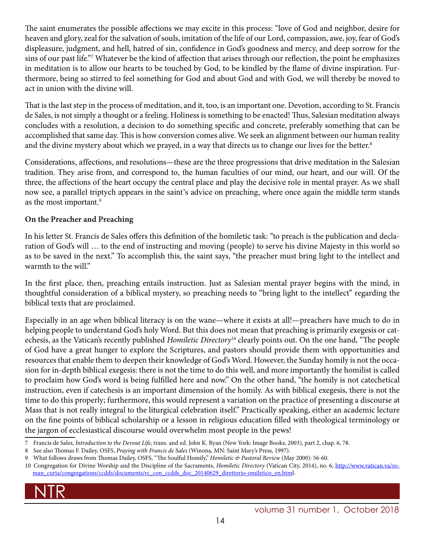The saint enumerates the possible affections we may excite in this process: "love of God and neighbor, desire for heaven and glory, zeal for the salvation of souls, imitation of the life of our Lord, compassion, awe, joy, fear of God's displeasure, judgment, and hell, hatred of sin, confidence in God's goodness and mercy, and deep sorrow for the sins of our past life."7 Whatever be the kind of affection that arises through our reflection, the point he emphasizes in meditation is to allow our hearts to be touched by God, to be kindled by the flame of divine inspiration. Furthermore, being so stirred to feel something for God and about God and with God, we will thereby be moved to act in union with the divine will.

That is the last step in the process of meditation, and it, too, is an important one. Devotion, according to St. Francis de Sales, is not simply a thought or a feeling. Holiness is something to be enacted! Thus, Salesian meditation always concludes with a resolution, a decision to do something specific and concrete, preferably something that can be accomplished that same day. This is how conversion comes alive. We seek an alignment between our human reality and the divine mystery about which we prayed, in a way that directs us to change our lives for the better.<sup>8</sup>

Considerations, affections, and resolutions—these are the three progressions that drive meditation in the Salesian tradition. They arise from, and correspond to, the human faculties of our mind, our heart, and our will. Of the three, the affections of the heart occupy the central place and play the decisive role in mental prayer. As we shall now see, a parallel triptych appears in the saint's advice on preaching, where once again the middle term stands as the most important.9

#### **On the Preacher and Preaching**

In his letter St. Francis de Sales offers this definition of the homiletic task: "to preach is the publication and declaration of God's will … to the end of instructing and moving (people) to serve his divine Majesty in this world so as to be saved in the next." To accomplish this, the saint says, "the preacher must bring light to the intellect and warmth to the will."

In the first place, then, preaching entails instruction. Just as Salesian mental prayer begins with the mind, in thoughtful consideration of a biblical mystery, so preaching needs to "bring light to the intellect" regarding the biblical texts that are proclaimed.

Especially in an age when biblical literacy is on the wane—where it exists at all!—preachers have much to do in helping people to understand God's holy Word. But this does not mean that preaching is primarily exegesis or catechesis, as the Vatican's recently published *Homiletic Directory*10 clearly points out. On the one hand, "The people of God have a great hunger to explore the Scriptures, and pastors should provide them with opportunities and resources that enable them to deepen their knowledge of God's Word. However, the Sunday homily is not the occasion for in-depth biblical exegesis: there is not the time to do this well, and more importantly the homilist is called to proclaim how God's word is being fulfilled here and now." On the other hand, "the homily is not catechetical instruction, even if catechesis is an important dimension of the homily. As with biblical exegesis, there is not the time to do this properly; furthermore, this would represent a variation on the practice of presenting a discourse at Mass that is not really integral to the liturgical celebration itself." Practically speaking, either an academic lecture on the fine points of biblical scholarship or a lesson in religious education filled with theological terminology or the jargon of ecclesiastical discourse would overwhelm most people in the pews!

<sup>10</sup> Congregation for Divine Worship and the Discipline of the Sacraments, *Homiletic Directory* (Vatican City, 2014), no. 6, http://www[.vatican.](http://www.vatican.va/roman_curia/congregations/ccdds/documents/rc_con_ccdds_doc_20140629_direttorio-omiletico_en.html)va/roman\_curia/congregations/ccdds/documents/rc\_con\_ccdds\_doc\_20140629\_direttorio-omiletico\_en.html.



<sup>7</sup> Francis de Sales, *Introduction to the Devout Life*, trans. and ed. John K. Ryan (New York: Image Books, 2003), part 2, chap. 6, 78.

<sup>8</sup> See also Thomas F. Dailey, OSFS, *Praying with Francis de Sales* (Winona, MN: Saint Mary's Press, 1997).

<sup>9</sup> What follows draws from Thomas Dailey, OSFS, "The Soulful Homily," *Homiletic & Pastoral Review* (May 2000): 56-60.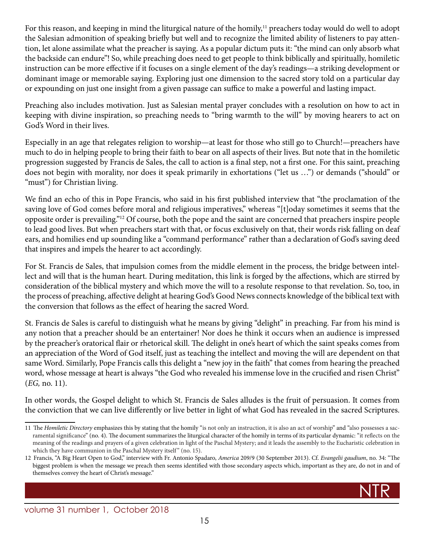For this reason, and keeping in mind the liturgical nature of the homily,<sup>11</sup> preachers today would do well to adopt the Salesian admonition of speaking briefly but well and to recognize the limited ability of listeners to pay attention, let alone assimilate what the preacher is saying. As a popular dictum puts it: "the mind can only absorb what the backside can endure"! So, while preaching does need to get people to think biblically and spiritually, homiletic instruction can be more effective if it focuses on a single element of the day's readings—a striking development or dominant image or memorable saying. Exploring just one dimension to the sacred story told on a particular day or expounding on just one insight from a given passage can suffice to make a powerful and lasting impact.

Preaching also includes motivation. Just as Salesian mental prayer concludes with a resolution on how to act in keeping with divine inspiration, so preaching needs to "bring warmth to the will" by moving hearers to act on God's Word in their lives.

Especially in an age that relegates religion to worship—at least for those who still go to Church!—preachers have much to do in helping people to bring their faith to bear on all aspects of their lives. But note that in the homiletic progression suggested by Francis de Sales, the call to action is a final step, not a first one. For this saint, preaching does not begin with morality, nor does it speak primarily in exhortations ("let us …") or demands ("should" or "must") for Christian living.

We find an echo of this in Pope Francis, who said in his first published interview that "the proclamation of the saving love of God comes before moral and religious imperatives," whereas "[t]oday sometimes it seems that the opposite order is prevailing."12 Of course, both the pope and the saint are concerned that preachers inspire people to lead good lives. But when preachers start with that, or focus exclusively on that, their words risk falling on deaf ears, and homilies end up sounding like a "command performance" rather than a declaration of God's saving deed that inspires and impels the hearer to act accordingly.

For St. Francis de Sales, that impulsion comes from the middle element in the process, the bridge between intellect and will that is the human heart. During meditation, this link is forged by the affections, which are stirred by consideration of the biblical mystery and which move the will to a resolute response to that revelation. So, too, in the process of preaching, affective delight at hearing God's Good News connects knowledge of the biblical text with the conversion that follows as the effect of hearing the sacred Word.

St. Francis de Sales is careful to distinguish what he means by giving "delight" in preaching. Far from his mind is any notion that a preacher should be an entertainer! Nor does he think it occurs when an audience is impressed by the preacher's oratorical flair or rhetorical skill. The delight in one's heart of which the saint speaks comes from an appreciation of the Word of God itself, just as teaching the intellect and moving the will are dependent on that same Word. Similarly, Pope Francis calls this delight a "new joy in the faith" that comes from hearing the preached word, whose message at heart is always "the God who revealed his immense love in the crucified and risen Christ" (*EG,* no. 11).

In other words, the Gospel delight to which St. Francis de Sales alludes is the fruit of persuasion. It comes from the conviction that we can live differently or live better in light of what God has revealed in the sacred Scriptures.

<u>NTR in the second contract of the second contract of the second contract of the second contract of the second</u>



<sup>11</sup> The *Homiletic Directory* emphasizes this by stating that the homily "is not only an instruction, it is also an act of worship" and "also possesses a sacramental significance" (no. 4). The document summarizes the liturgical character of the homily in terms of its particular dynamic: "it reflects on the meaning of the readings and prayers of a given celebration in light of the Paschal Mystery; and it leads the assembly to the Eucharistic celebration in which they have communion in the Paschal Mystery itself" (no. 15).

<sup>12</sup> Francis, "A Big Heart Open to God," interview with Fr. Antonio Spadaro, *America* 209/9 (30 September 2013). Cf. *Evangelii gaudium*, no. 34: "The biggest problem is when the message we preach then seems identified with those secondary aspects which, important as they are, do not in and of themselves convey the heart of Christ's message."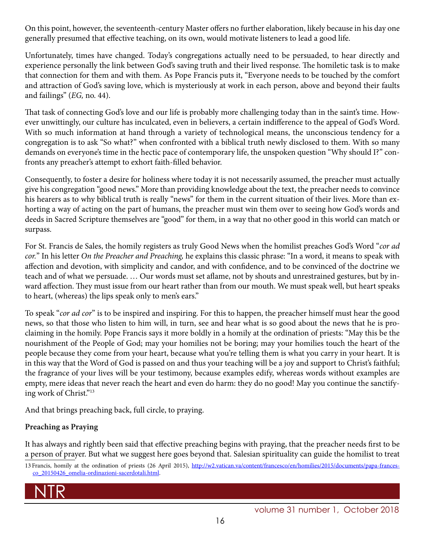On this point, however, the seventeenth-century Master offers no further elaboration, likely because in his day one generally presumed that effective teaching, on its own, would motivate listeners to lead a good life.

Unfortunately, times have changed. Today's congregations actually need to be persuaded, to hear directly and experience personally the link between God's saving truth and their lived response. The homiletic task is to make that connection for them and with them. As Pope Francis puts it, "Everyone needs to be touched by the comfort and attraction of God's saving love, which is mysteriously at work in each person, above and beyond their faults and failings" (*EG,* no. 44).

That task of connecting God's love and our life is probably more challenging today than in the saint's time. However unwittingly, our culture has inculcated, even in believers, a certain indifference to the appeal of God's Word. With so much information at hand through a variety of technological means, the unconscious tendency for a congregation is to ask "So what?" when confronted with a biblical truth newly disclosed to them. With so many demands on everyone's time in the hectic pace of contemporary life, the unspoken question "Why should I?" confronts any preacher's attempt to exhort faith-filled behavior.

Consequently, to foster a desire for holiness where today it is not necessarily assumed, the preacher must actually give his congregation "good news." More than providing knowledge about the text, the preacher needs to convince his hearers as to why biblical truth is really "news" for them in the current situation of their lives. More than exhorting a way of acting on the part of humans, the preacher must win them over to seeing how God's words and deeds in Sacred Scripture themselves are "good" for them, in a way that no other good in this world can match or surpass.

For St. Francis de Sales, the homily registers as truly Good News when the homilist preaches God's Word "*cor ad cor.*" In his letter *On the Preacher and Preaching,* he explains this classic phrase: "In a word, it means to speak with affection and devotion, with simplicity and candor, and with confidence, and to be convinced of the doctrine we teach and of what we persuade. … Our words must set aflame, not by shouts and unrestrained gestures, but by inward affection. They must issue from our heart rather than from our mouth. We must speak well, but heart speaks to heart, (whereas) the lips speak only to men's ears."

To speak "*cor ad cor*" is to be inspired and inspiring. For this to happen, the preacher himself must hear the good news, so that those who listen to him will, in turn, see and hear what is so good about the news that he is proclaiming in the homily. Pope Francis says it more boldly in a homily at the ordination of priests: "May this be the nourishment of the People of God; may your homilies not be boring; may your homilies touch the heart of the people because they come from your heart, because what you're telling them is what you carry in your heart. It is in this way that the Word of God is passed on and thus your teaching will be a joy and support to Christ's faithful; the fragrance of your lives will be your testimony, because examples edify, whereas words without examples are empty, mere ideas that never reach the heart and even do harm: they do no good! May you continue the sanctifying work of Christ."13

And that brings preaching back, full circle, to praying.

### **Preaching as Praying**

It has always and rightly been said that effective preaching begins with praying, that the preacher needs first to be a person of prayer. But what we suggest here goes beyond that. Salesian spirituality can guide the homilist to treat

NTR

<sup>13</sup> Francis, homily at the ordination of priests (26 April 2015), [http://w2.vatican.va/content/francesco/en/homilies/2015/documents/papa-frances](http://w2.vatican.va/content/francesco/en/homilies/2015/documents/papa-francesco_20150426_omelia-ordinazioni-sacerdotali.html)[co\\_20150426\\_omelia-ordinazioni-sacerdotali.html](http://w2.vatican.va/content/francesco/en/homilies/2015/documents/papa-francesco_20150426_omelia-ordinazioni-sacerdotali.html).